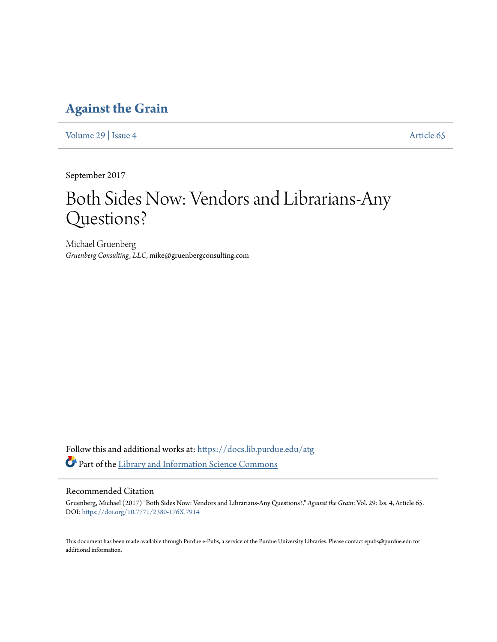## **[Against the Grain](https://docs.lib.purdue.edu/atg?utm_source=docs.lib.purdue.edu%2Fatg%2Fvol29%2Fiss4%2F65&utm_medium=PDF&utm_campaign=PDFCoverPages)**

[Volume 29](https://docs.lib.purdue.edu/atg/vol29?utm_source=docs.lib.purdue.edu%2Fatg%2Fvol29%2Fiss4%2F65&utm_medium=PDF&utm_campaign=PDFCoverPages) | [Issue 4](https://docs.lib.purdue.edu/atg/vol29/iss4?utm_source=docs.lib.purdue.edu%2Fatg%2Fvol29%2Fiss4%2F65&utm_medium=PDF&utm_campaign=PDFCoverPages) [Article 65](https://docs.lib.purdue.edu/atg/vol29/iss4/65?utm_source=docs.lib.purdue.edu%2Fatg%2Fvol29%2Fiss4%2F65&utm_medium=PDF&utm_campaign=PDFCoverPages)

September 2017

## Both Sides Now: Vendors and Librarians-Any Questions?

Michael Gruenberg *Gruenberg Consulting, LLC*, mike@gruenbergconsulting.com

Follow this and additional works at: [https://docs.lib.purdue.edu/atg](https://docs.lib.purdue.edu/atg?utm_source=docs.lib.purdue.edu%2Fatg%2Fvol29%2Fiss4%2F65&utm_medium=PDF&utm_campaign=PDFCoverPages) Part of the [Library and Information Science Commons](http://network.bepress.com/hgg/discipline/1018?utm_source=docs.lib.purdue.edu%2Fatg%2Fvol29%2Fiss4%2F65&utm_medium=PDF&utm_campaign=PDFCoverPages)

## Recommended Citation

Gruenberg, Michael (2017) "Both Sides Now: Vendors and Librarians-Any Questions?," *Against the Grain*: Vol. 29: Iss. 4, Article 65. DOI: <https://doi.org/10.7771/2380-176X.7914>

This document has been made available through Purdue e-Pubs, a service of the Purdue University Libraries. Please contact epubs@purdue.edu for additional information.